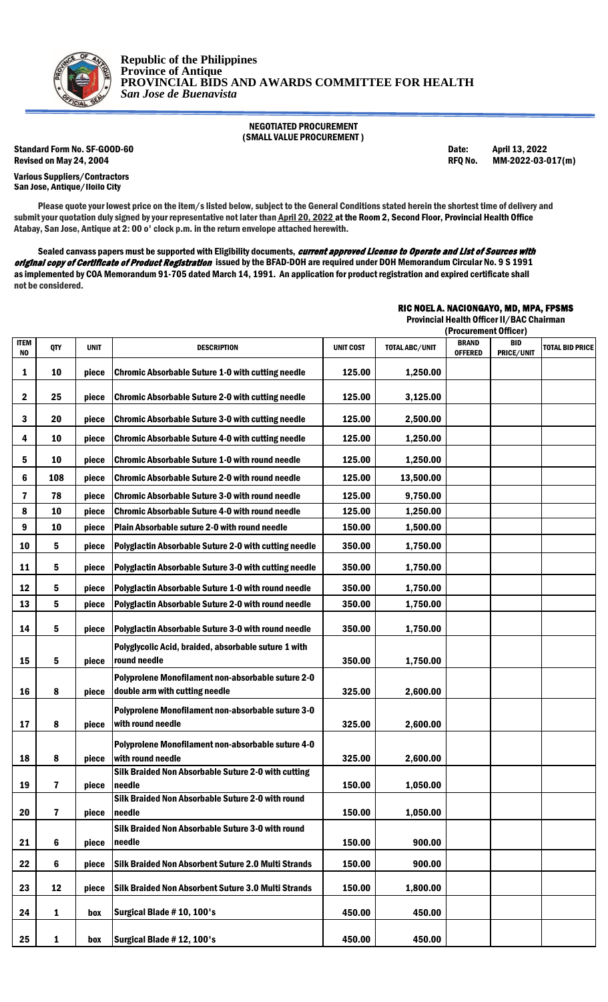

NEGOTIATED PROCUREMENT (SMALL VALUE PROCUREMENT )

Standard Form No. SF-GOOD-60 Date: April 13, 2022 Revised on May 24, 2004 **REQ No. 2006** RFQ No. 2022-03-017(m)

Various Suppliers/Contractors San Jose, Antique/Iloilo City

RIC NOEL A. NACIONGAYO, MD, MPA, FPSMS

Please quote your lowest price on the item/s listed below, subject to the General Conditions stated herein the shortest time of delivery and submit your quotation duly signed by your representative not later than April 20, 2022 at the Room 2, Second Floor, Provincial Health Office Atabay, San Jose, Antique at 2: 00 o' clock p.m. in the return envelope attached herewith.

Sealed canvass papers must be supported with Eligibility documents, current approved License to Operate and List of Sources with original copy of Certificate of Product Registration issued by the BFAD-DOH are required under DOH Memorandum Circular No. 9 S 1991 as implemented by COA Memorandum 91-705 dated March 14, 1991. An application for product registration and expired certificate shall not be considered.

|                  |              |             |                                                                                      | Provincial Health Officer II/BAC Chairman<br>(Procurement Officer) |                |                                |                          |                        |
|------------------|--------------|-------------|--------------------------------------------------------------------------------------|--------------------------------------------------------------------|----------------|--------------------------------|--------------------------|------------------------|
| ITEM<br>NO       | QTY          | <b>UNIT</b> | <b>DESCRIPTION</b>                                                                   | <b>UNIT COST</b>                                                   | TOTAL ABC/UNIT | <b>BRAND</b><br><b>OFFERED</b> | <b>BID</b><br>PRICE/UNIT | <b>TOTAL BID PRICE</b> |
| 1                | 10           | piece       | <b>Chromic Absorbable Suture 1-0 with cutting needle</b>                             | 125.00                                                             | 1,250.00       |                                |                          |                        |
| $\boldsymbol{2}$ | 25           | piece       | <b>Chromic Absorbable Suture 2-0 with cutting needle</b>                             | 125.00                                                             | 3,125.00       |                                |                          |                        |
| 3                | 20           | piece       | <b>Chromic Absorbable Suture 3-0 with cutting needle</b>                             | 125.00                                                             | 2,500.00       |                                |                          |                        |
| 4                | 10           | piece       | <b>Chromic Absorbable Suture 4-0 with cutting needle</b>                             | 125.00                                                             | 1,250.00       |                                |                          |                        |
| 5                | 10           | piece       | <b>Chromic Absorbable Suture 1-0 with round needle</b>                               | 125.00                                                             | 1,250.00       |                                |                          |                        |
| 6                | 108          | piece       | <b>Chromic Absorbable Suture 2-0 with round needle</b>                               | 125.00                                                             | 13,500.00      |                                |                          |                        |
| $\mathbf{7}$     | 78           | piece       | <b>Chromic Absorbable Suture 3-0 with round needle</b>                               | 125.00                                                             | 9,750.00       |                                |                          |                        |
| 8                | 10           | piece       | <b>Chromic Absorbable Suture 4-0 with round needle</b>                               | 125.00                                                             | 1,250.00       |                                |                          |                        |
| 9                | 10           | piece       | Plain Absorbable suture 2-0 with round needle                                        | 150.00                                                             | 1,500.00       |                                |                          |                        |
| 10               | 5            | piece       | Polyglactin Absorbable Suture 2-0 with cutting needle                                | 350.00                                                             | 1,750.00       |                                |                          |                        |
| 11               | 5            | piece       | Polyglactin Absorbable Suture 3-0 with cutting needle                                | 350.00                                                             | 1,750.00       |                                |                          |                        |
| 12               | 5            | piece       | Polyglactin Absorbable Suture 1-0 with round needle                                  | 350.00                                                             | 1,750.00       |                                |                          |                        |
| 13               | 5            | piece       | Polyglactin Absorbable Suture 2-0 with round needle                                  | 350.00                                                             | 1,750.00       |                                |                          |                        |
| 14               | 5            | piece       | Polyglactin Absorbable Suture 3-0 with round needle                                  | 350.00                                                             | 1,750.00       |                                |                          |                        |
| 15               | 5            | piece       | Polyglycolic Acid, braided, absorbable suture 1 with<br>round needle                 | 350.00                                                             | 1,750.00       |                                |                          |                        |
| 16               | 8            | piece       | Polyprolene Monofilament non-absorbable suture 2-0<br>double arm with cutting needle | 325.00                                                             | 2,600.00       |                                |                          |                        |
| 17               | 8            | piece       | Polyprolene Monofilament non-absorbable suture 3-0<br>with round needle              | 325.00                                                             | 2,600.00       |                                |                          |                        |
| 18               | 8            | piece       | Polyprolene Monofilament non-absorbable suture 4-0<br>with round needle              | 325.00                                                             | 2,600.00       |                                |                          |                        |
| 19               | $\mathbf{7}$ | piece       | Silk Braided Non Absorbable Suture 2-0 with cutting<br>needle                        | 150.00                                                             | 1,050.00       |                                |                          |                        |
| 20               | $\mathbf{7}$ | piece       | Silk Braided Non Absorbable Suture 2-0 with round<br>needle                          | 150.00                                                             | 1,050.00       |                                |                          |                        |
| 21               | 6            | piece       | Silk Braided Non Absorbable Suture 3-0 with round<br>needle                          | 150.00                                                             | 900.00         |                                |                          |                        |
| 22               | 6            | piece       | Silk Braided Non Absorbent Suture 2.0 Multi Strands                                  | 150.00                                                             | 900.00         |                                |                          |                        |
| 23               | 12           | piece       | Silk Braided Non Absorbent Suture 3.0 Multi Strands                                  | 150.00                                                             | 1,800.00       |                                |                          |                        |
| 24               | 1            | box         | Surgical Blade #10, 100's                                                            | 450.00                                                             | 450.00         |                                |                          |                        |
| 25               | 1            | box         | Surgical Blade #12, 100's                                                            | 450.00                                                             | 450.00         |                                |                          |                        |